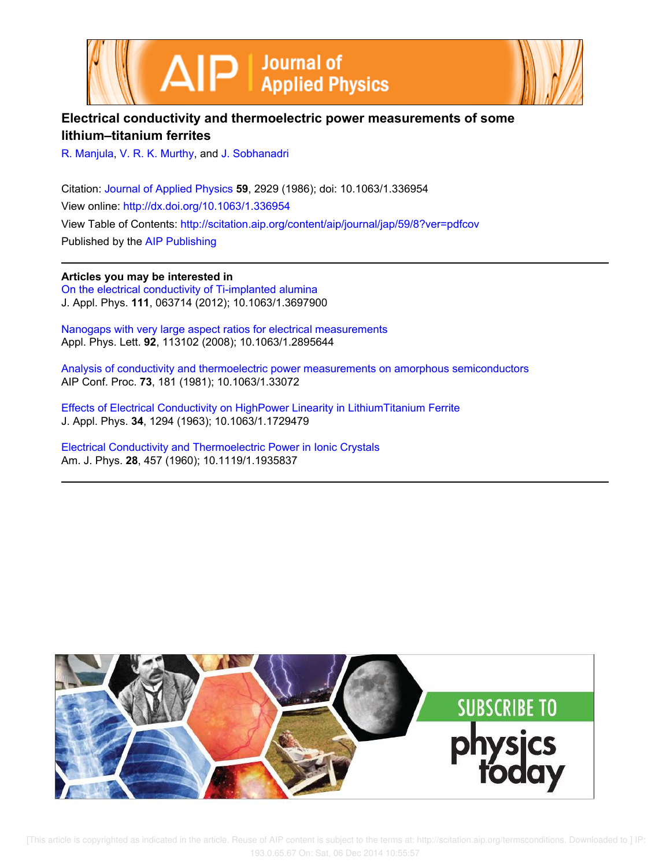



## **Electrical conductivity and thermoelectric power measurements of some lithium–titanium ferrites**

R. Manjula, V. R. K. Murthy, and J. Sobhanadri

Citation: Journal of Applied Physics **59**, 2929 (1986); doi: 10.1063/1.336954 View online: http://dx.doi.org/10.1063/1.336954 View Table of Contents: http://scitation.aip.org/content/aip/journal/jap/59/8?ver=pdfcov Published by the AIP Publishing

**Articles you may be interested in** On the electrical conductivity of Ti-implanted alumina

J. Appl. Phys. **111**, 063714 (2012); 10.1063/1.3697900

Nanogaps with very large aspect ratios for electrical measurements Appl. Phys. Lett. **92**, 113102 (2008); 10.1063/1.2895644

Analysis of conductivity and thermoelectric power measurements on amorphous semiconductors AIP Conf. Proc. **73**, 181 (1981); 10.1063/1.33072

Effects of Electrical Conductivity on HighPower Linearity in LithiumTitanium Ferrite J. Appl. Phys. **34**, 1294 (1963); 10.1063/1.1729479

Electrical Conductivity and Thermoelectric Power in Ionic Crystals Am. J. Phys. **28**, 457 (1960); 10.1119/1.1935837

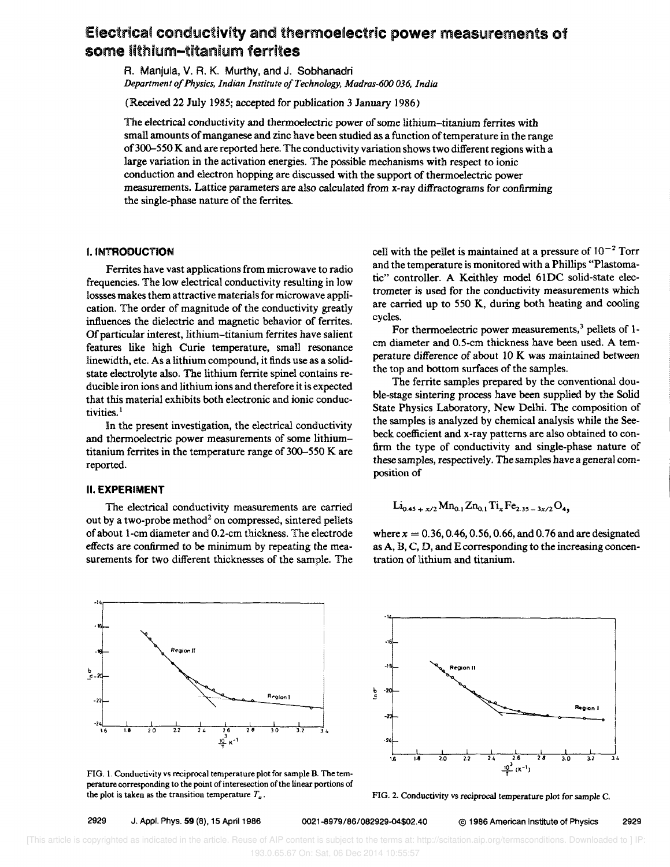# Electrica' conductivity and thermoelectric **power** measurements of some lithium-titanium ferrites

R. Manjula, V. R. K. Murthy, and J. Sobhanadri *Department 0/ Physics, Indian Institute o/Technology, Madras-600 036, India* 

(Received 22 July 1985; accepted for publication 3 January 1986)

The electrical conductivity and thennoelectric power of some lithium-titanium ferrites with small amounts of manganese and zinc have been studied as a function of temperature in the range of300-550 K and are reported here. The conductivity variation shows two different regions with a large variation in the activation energies. The possible mechanisms with respect to ionic conduction and electron hopping are discussed with the support of thennoelectric power measurements. Lattice parameters are also calculated from x-ray diffractograms for confirming the single-phase nature of the ferrites.

## **I. INTRODUCTION**

Ferrites have vast applications from microwave to radio frequencies. The low electrical conductivity resulting in low Iossses makes them attractive materials for microwave application. The order of magnitude of the conductivity greatly influences the dielectric and magnetic behavior of ferrites. Of particular interest, lithium-titanium ferrites have salient features like high Curie temperature, small resonance linewidth, etc. As a lithium compound, it finds use as a solidstate electrolyte also. The lithium ferrite spinel contains reducible iron ions and lithium ions and therefore it is expected that this material exhibits both electronic and ionic conductivities.<sup>1</sup>

In the present investigation, the electrical conductivity and thermoelectric power measurements of some lithiumtitanium ferrites in the temperature range of 300-550 K are reported.

## **II. EXPERIMENT**

. 14,------

The electrical conductivity measurements are carried out by a two-probe method<sup>2</sup> on compressed, sintered pellets of about i-cm diameter and 0.2-cm thickness. The electrode effects are confirmed to be minimum by repeating the measurements for two different thicknesses of the sample. The

cell with the pellet is maintained at a pressure of  $10^{-2}$  Torr and the temperature is monitored with a Phillips "Plastomatic" controller. A Keithley model 61 DC solid-state electrometer is used for the conductivity measurements which are carried up to 550 K, during both heating and cooling cycles.

For thermoelectric power measurements, $3$  pellets of 1cm diameter and 0.5-cm thickness have been used. A temperature difference of about 10 K was maintained between the top and bottom surfaces of the samples.

The ferrite samples prepared by the conventional double-stage sintering process have been supplied by the Solid State Physics Laboratory, New Delhi. The composition of the samples is analyzed by chemical analysis while the Seebeck coefficient and x-ray patterns are also obtained to confirm the type of conductivity and single-phase nature of these samples, respectively. The samples have a general composition of

$$
Li_{0.45+x/2}Mn_{0.1}Zn_{0.1}Ti_xFe_{2.35-3x/2}O_4,
$$

where  $x = 0.36, 0.46, 0.56, 0.66,$  and 0.76 and are designated as A, B, C, D, and E corresponding to the increasing concentration of lithium and titanium .





FIG. I. Conductivity vs reciprocal temperature plot for sample B. The temperature corresponding to the point of interesection of the linear portions of the plot is taken as the transition temperature  $T_a$ .

FIG. 2. Conductivity vs reciprocal temperature plot for sample C.

#### 2929 J. Appl. Phys. **59** (8), 15 April 1986 0021-8979/86/082929-04\$02.40 @ 1986 American Institute of Physics 2929

**R.gton I**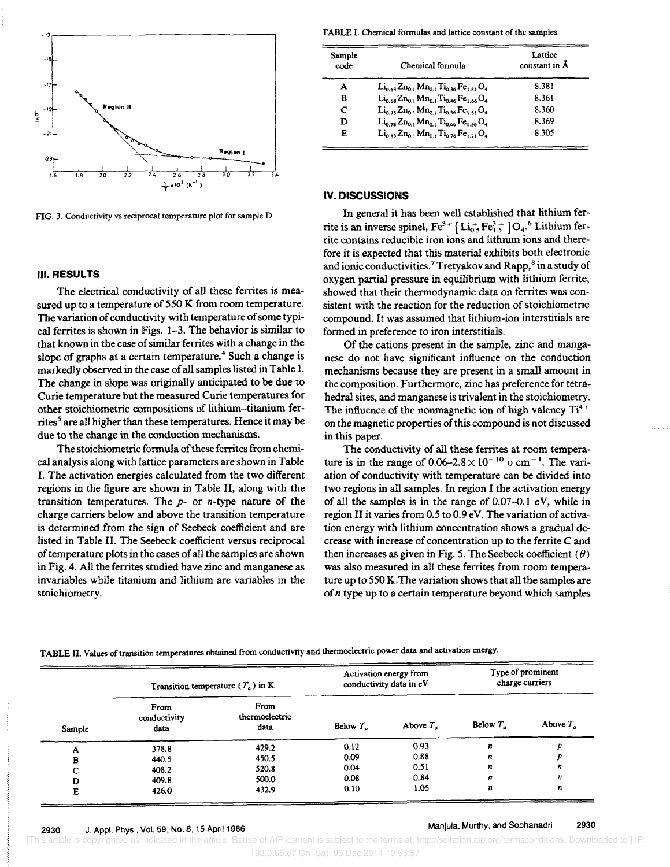

FIG. 3. Conductivity vs reciprocal temperature plot for sample D.

#### III. RESULTS

The electrical conductivity of all these ferrites is measured up to a temperature of 550 K from room temperature. The variation of conductivity with temperature of some typical ferrites is shown in Figs. 1-3. The behavior is similar to that known in the case of similar ferrites with a change in the slope of graphs at a certain temperature.<sup>4</sup> Such a change is markedly observed in the case of all samples listed in Table I. The change in slope was originally anticipated to be due to Curie temperature but the measured Curie temperatures for other stoichiometric compositions of lithium-titanium ferrites<sup>5</sup> are all higher than these temperatures. Hence it may be due to the change in the conduction mechanisms.

The stoichiometric formula of these ferrites from chemica! analysis along with lattice parameters are shown in Table I. The activation energies calculated from the two different regions in the figure are shown in Table II, along with the transition temperatures. The  $p$ - or  $n$ -type nature of the charge carriers below and above the transition temperature is determined from the sign of Seebeck coefficient and are listed in Table **II.** The Seebeck coefficient versus reciprocal of temperature plots in the cases of aU the samples are shown in Fig. 4. All the ferrites studied have zinc and manganese as invariables while titanium and lithium are variables in the stoichiometry.

TABLE I. Chemical formulas and lattice constant of the samples .

| Sample<br>code | Chemical formula                                                                                                                                  | Lattice<br>constant in Å |  |
|----------------|---------------------------------------------------------------------------------------------------------------------------------------------------|--------------------------|--|
| A              | $\rm Li_{0.63}Zn_{0.1}Mn_{0.1}Ti_{0.36}Fe_{1.81}O_4$                                                                                              | 8.381                    |  |
| в              | $\rm Li_{0.68}Zn_{0.1}Mn_{0.1}Ti_{0.46}Fe_{1.66}O_4$                                                                                              | 8.361                    |  |
| C              | $\operatorname{Li}_{22}$ $\operatorname{Zn}_0$ , $\operatorname{Mn}_0$ , $\operatorname{Ti}_{225}$ $\operatorname{Fe}_{121}$ $\operatorname{O}_4$ | 8.360                    |  |
| D              | $\rm Li_{0.78}Zn_{0.1}Mn_{0.1}Ti_{0.66}Fe_{1.36}O_{4}$                                                                                            | 8.369                    |  |
| E              | $\rm Li_{0.83}Zn_{0.1}Mn_{0.1}Ti_{0.76}Fe_{1.21}O_{4}$                                                                                            | 8.305                    |  |

## **IV. DISCUSSIONS**

In general it has been well established that lithium ferrite is an inverse spinel,  $Fe^{3+}$   $[Li<sub>0.5</sub>Fe<sub>1.5</sub><sup>3+</sup>]O<sub>4</sub><sup>.6</sup> Lithium fer$ rite contains reducible iron ions and lithium ions and therefore it is expected that this material exhibits both electronic and ionic conductivities.<sup>7</sup> Tretyakov and Rapp,<sup>8</sup> in a study of oxygen partial pressure in equilibrium with lithium ferrite, showed that their thermodynamic data on ferrites was consistent with the reaction for the reduction of stoichiometric compound. It was assumed that lithium-ion interstitials are formed in preference to iron interstitials.

Of the cations present in the sample, zinc and manganese do not have significant influence on the conduction mechanisms because they are present in a small amount in the composition. Furthermore, zinc has preference for tetrahedral sites, and manganese is trivalent in the stoichiometry. The influence of the nonmagnetic ion of high valency  $Ti<sup>4+</sup>$ on the magnetic properties of this compound is not discussed in this paper.

The conductivity of all these ferrites at room temperature is in the range of  $0.06-2.8 \times 10^{-10}$  u cm<sup>-1</sup>. The variation of conductivity with temperature can be divided into two regions in all samples. In region I the activation energy of all the samples is in the range of  $0.07-0.1$  eV, while in region II it varies from  $0.5$  to  $0.9$  eV. The variation of activation energy with lithium concentration shows a gradual decrease with increase of concentration up to the ferrite C and then increases as given in Fig. 5. The Seebeck coefficient  $(\theta)$ was also measured in all these ferrites from room temperature up to 550 K.The variation shows that all the samples are of *n* type up to a certain temperature beyond which samples

| TABLE II. Values of transition temperatures obtained from conductivity and thermoelectric power data and activation energy. |  |
|-----------------------------------------------------------------------------------------------------------------------------|--|
|-----------------------------------------------------------------------------------------------------------------------------|--|

| Sample | Transition temperature ( $T_a$ ) in K |                                | Activation energy from<br>conductivity data in eV |             | Type of prominent<br>charge carriers |             |
|--------|---------------------------------------|--------------------------------|---------------------------------------------------|-------------|--------------------------------------|-------------|
|        | From<br>conductivity<br>data          | From<br>thermoelectric<br>data | Below $T_a$                                       | Above $T_a$ | Below $T_a$                          | Above $T_a$ |
| А      | 378.8                                 | 429.2                          | 0.12                                              | 0.93        | $\boldsymbol{n}$                     | D           |
| в      | 440.5                                 | 450.5                          | 0.09                                              | 0.88        | n                                    |             |
|        | 408.2                                 | 520.8                          | 0.04                                              | 0.51        | $\boldsymbol{n}$                     | n           |
| D      | 409.8                                 | 500.0                          | 0.08                                              | 0.84        | n                                    | n           |
| Е      | 426.0                                 | 432.9                          | 0.10                                              | 1.05        | n                                    | n           |

## Manjula, Murthy, and Sobhanadri 2930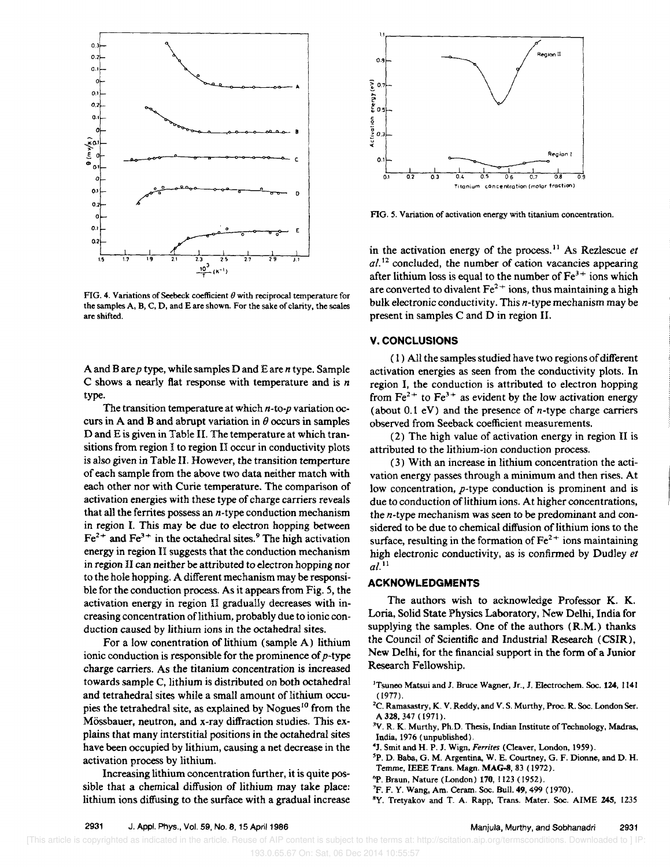

FIG. 4. Variations of Seebeck coefficient  $\theta$  with reciprocal temperature for the samples A, B, C, D, and E are shown. For the sake of clarity, the scales are shifted.

A and B are p type, while samples D and E are *n* type. Sample C shows a nearly flat response with temperature and is *n*  type.

The transition temperature at which *n-to-p* variation occurs in A and B and abrupt variation in  $\theta$  occurs in samples D and E is given in Table II. The temperature at which transitions from region I to region II occur in conductivity plots is also given in Table II. However, the transition temperture of each sample from the above two data neither match with each other nor with Curie temperature. The comparison of activation energies with these type of charge carriers reveals that all the ferrites possess an  $n$ -type conduction mechanism in region I. This may be due to electron hopping between  $Fe<sup>2+</sup>$  and  $Fe<sup>3+</sup>$  in the octahedral sites.<sup>9</sup> The high activation energy in region II suggests that the conduction mechanism in region 11 can neither be attributed to electron hopping nor to the hole hopping. A different mechanism may be responsible for the conduction process. As it appears from Fig. S, the activation energy in region II gradually decreases with increasing concentration of lithium, probably due to ionic conduction caused by lithium ions in the octahedral sites.

For a low conentration of lithium (sample A) lithium ionic conduction is responsible for the prominence of *p-type*  charge carriers. As the titanium concentration is increased towards sample C, lithium is distributed on both octahedral and tetrahedral sites while a small amount of lithium occupies the tetrahedral site, as explained by Nogues<sup>10</sup> from the M6ssbauer, neutron, and x-ray diffraction studies. This explains that many interstitial positions in the octahedral sites have been occupied by lithium, causing a net decrease in the activation process by lithium.

Increasing lithium concentration further, it is quite possible that a chemical diffusion of lithium may take place: lithium ions diffusing to the surface with a gradual increase



FIG. 5. Variation of activation energy with titanium concentration.

in the activation energy of the process. II As Rezlescue *et*   $al$ .<sup>12</sup> concluded, the number of cation vacancies appearing after lithium loss is equal to the number of  $Fe<sup>3+</sup>$  ions which are converted to divalent  $Fe^{2+}$  ions, thus maintaining a high bulk electronic conductivity. This n-type mechanism may be present in samples C and D in region II.

## V. CONCLUSIONS

( I ) All the samples studied have two regions of different activation energies as seen from the conductivity plots. In region I. the conduction is attributed to electron hopping from  $Fe^{2+}$  to  $Fe^{3+}$  as evident by the low activation energy (about 0.1 eV) and the presence of *n*-type charge carriers observed from Seeback coefficient measurements.

(2) The high value of activation energy in region II is attributed to the lithium-ion conduction process.

(3) With an increase in lithium concentration the activation energy passes through a minimum and then rises. At low concentration. p-type conduction is prominent and is due to conduction of lithium ions. At higher concentrations, the n-type mechanism was seen to be predominant and considered to be due to chemical diffusion of lithium ions to the surface, resulting in the formation of  $\text{Fe}^{2+}$  ions maintaining high electronic conductivity, as is confirmed by Dudley *et a/.* II

#### ACKNOWLEDGMENTS

The authors wish to acknowledge Professor K. K. Loria, Solid State Physics Laboratory, New Delhi, India for supplying the samples. One of the authors (R.M.) thanks the Council of Scientific and Industrial Research (CSIR), New Delhi, for the financial support in the form of a Junior Research Fellowship.

- <sup>1</sup>Tsuneo Matsui and J. Bruce Wagner, Jr., J. Electrochem. Soc. 124, 1141  $(1977)$ .
- ${}^{2}C$ . Ramasastry, K. V. Reddy, and V. S. Murthy, Proc. R. Soc. London Ser. A 328,347 (1971).
- <sup>3</sup>V. R. K. Murthy, Ph.D. Thesis, Indian Institute of Technology, Madras, India, 1976 (unpublished).
- 4J. Smit and H. P. J. Wign, *Ferrites* (Cleaver, London, 1959).
- 'P. D. Baba, G. M. Argentina, W. E. Courtney, G. F. Dionne, and D. H. Temme, IEEE Trans. Magn. MAG-8, 83 (1972).
- 6P. Braun, Nature (London) 170, 1123 (1952).
- 'P. F. Y. Wang, Am. Ceram. Soc. Bull. 49, 499 (1970).
- <sup>8</sup>Y. Tretyakov and T. A. Rapp, Trans. Mater. Soc. AIME 245, 1235